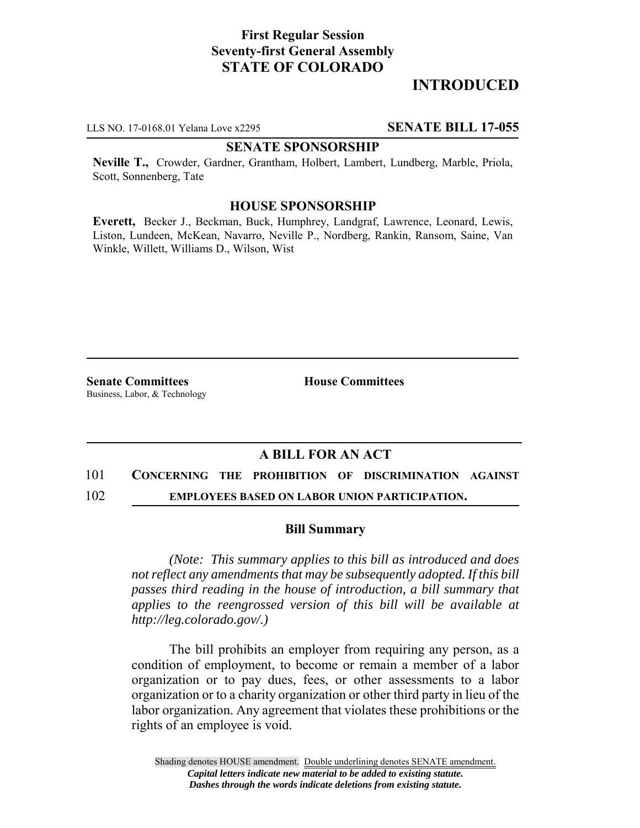# **First Regular Session Seventy-first General Assembly STATE OF COLORADO**

# **INTRODUCED**

LLS NO. 17-0168.01 Yelana Love x2295 **SENATE BILL 17-055**

#### **SENATE SPONSORSHIP**

**Neville T.,** Crowder, Gardner, Grantham, Holbert, Lambert, Lundberg, Marble, Priola, Scott, Sonnenberg, Tate

### **HOUSE SPONSORSHIP**

**Everett,** Becker J., Beckman, Buck, Humphrey, Landgraf, Lawrence, Leonard, Lewis, Liston, Lundeen, McKean, Navarro, Neville P., Nordberg, Rankin, Ransom, Saine, Van Winkle, Willett, Williams D., Wilson, Wist

**Senate Committees House Committees** Business, Labor, & Technology

## **A BILL FOR AN ACT**

## 101 **CONCERNING THE PROHIBITION OF DISCRIMINATION AGAINST**

102 **EMPLOYEES BASED ON LABOR UNION PARTICIPATION.**

#### **Bill Summary**

*(Note: This summary applies to this bill as introduced and does not reflect any amendments that may be subsequently adopted. If this bill passes third reading in the house of introduction, a bill summary that applies to the reengrossed version of this bill will be available at http://leg.colorado.gov/.)*

The bill prohibits an employer from requiring any person, as a condition of employment, to become or remain a member of a labor organization or to pay dues, fees, or other assessments to a labor organization or to a charity organization or other third party in lieu of the labor organization. Any agreement that violates these prohibitions or the rights of an employee is void.

Shading denotes HOUSE amendment. Double underlining denotes SENATE amendment. *Capital letters indicate new material to be added to existing statute. Dashes through the words indicate deletions from existing statute.*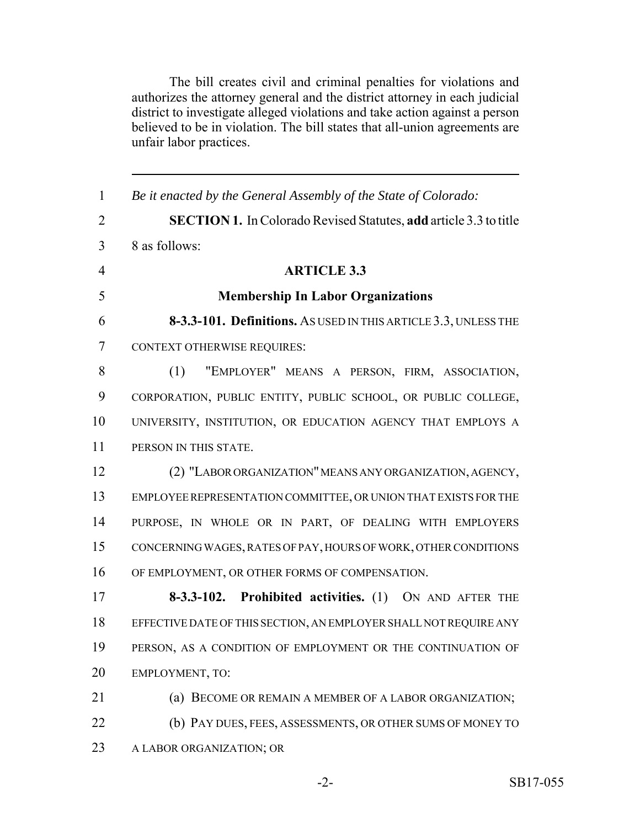The bill creates civil and criminal penalties for violations and authorizes the attorney general and the district attorney in each judicial district to investigate alleged violations and take action against a person believed to be in violation. The bill states that all-union agreements are unfair labor practices.

 *Be it enacted by the General Assembly of the State of Colorado:* **SECTION 1.** In Colorado Revised Statutes, **add** article 3.3 to title 8 as follows: **ARTICLE 3.3 Membership In Labor Organizations 8-3.3-101. Definitions.** AS USED IN THIS ARTICLE 3.3, UNLESS THE CONTEXT OTHERWISE REQUIRES: (1) "EMPLOYER" MEANS A PERSON, FIRM, ASSOCIATION, CORPORATION, PUBLIC ENTITY, PUBLIC SCHOOL, OR PUBLIC COLLEGE, UNIVERSITY, INSTITUTION, OR EDUCATION AGENCY THAT EMPLOYS A PERSON IN THIS STATE. (2) "LABOR ORGANIZATION" MEANS ANY ORGANIZATION, AGENCY, EMPLOYEE REPRESENTATION COMMITTEE, OR UNION THAT EXISTS FOR THE PURPOSE, IN WHOLE OR IN PART, OF DEALING WITH EMPLOYERS CONCERNING WAGES, RATES OF PAY, HOURS OF WORK, OTHER CONDITIONS OF EMPLOYMENT, OR OTHER FORMS OF COMPENSATION. **8-3.3-102. Prohibited activities.** (1) ON AND AFTER THE EFFECTIVE DATE OF THIS SECTION, AN EMPLOYER SHALL NOT REQUIRE ANY PERSON, AS A CONDITION OF EMPLOYMENT OR THE CONTINUATION OF EMPLOYMENT, TO: (a) BECOME OR REMAIN A MEMBER OF A LABOR ORGANIZATION; (b) PAY DUES, FEES, ASSESSMENTS, OR OTHER SUMS OF MONEY TO A LABOR ORGANIZATION; OR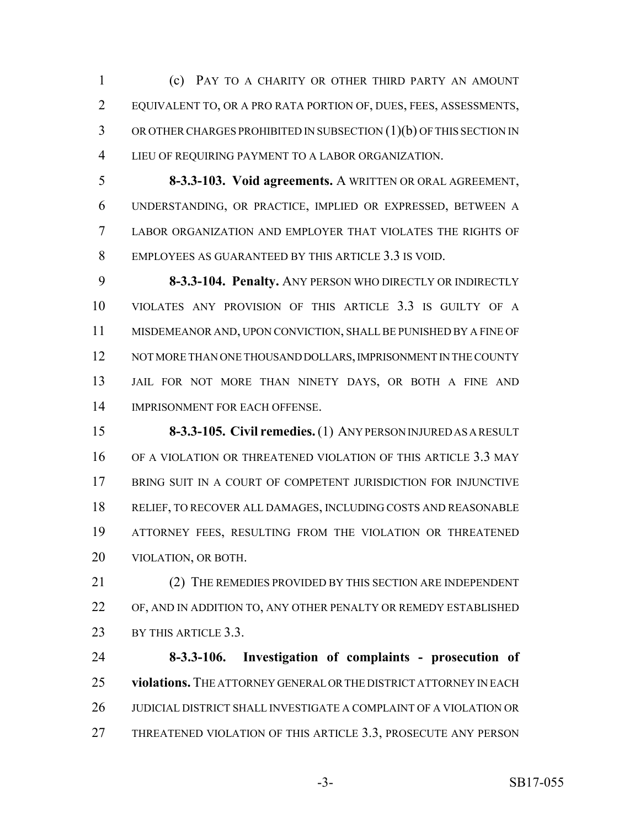(c) PAY TO A CHARITY OR OTHER THIRD PARTY AN AMOUNT EQUIVALENT TO, OR A PRO RATA PORTION OF, DUES, FEES, ASSESSMENTS, OR OTHER CHARGES PROHIBITED IN SUBSECTION (1)(b) OF THIS SECTION IN LIEU OF REQUIRING PAYMENT TO A LABOR ORGANIZATION.

 **8-3.3-103. Void agreements.** A WRITTEN OR ORAL AGREEMENT, UNDERSTANDING, OR PRACTICE, IMPLIED OR EXPRESSED, BETWEEN A LABOR ORGANIZATION AND EMPLOYER THAT VIOLATES THE RIGHTS OF EMPLOYEES AS GUARANTEED BY THIS ARTICLE 3.3 IS VOID.

 **8-3.3-104. Penalty.** ANY PERSON WHO DIRECTLY OR INDIRECTLY VIOLATES ANY PROVISION OF THIS ARTICLE 3.3 IS GUILTY OF A MISDEMEANOR AND, UPON CONVICTION, SHALL BE PUNISHED BY A FINE OF 12 NOT MORE THAN ONE THOUSAND DOLLARS, IMPRISONMENT IN THE COUNTY JAIL FOR NOT MORE THAN NINETY DAYS, OR BOTH A FINE AND 14 IMPRISONMENT FOR EACH OFFENSE.

 **8-3.3-105. Civil remedies.** (1) ANY PERSON INJURED AS A RESULT OF A VIOLATION OR THREATENED VIOLATION OF THIS ARTICLE 3.3 MAY 17 BRING SUIT IN A COURT OF COMPETENT JURISDICTION FOR INJUNCTIVE RELIEF, TO RECOVER ALL DAMAGES, INCLUDING COSTS AND REASONABLE ATTORNEY FEES, RESULTING FROM THE VIOLATION OR THREATENED VIOLATION, OR BOTH.

21 (2) THE REMEDIES PROVIDED BY THIS SECTION ARE INDEPENDENT OF, AND IN ADDITION TO, ANY OTHER PENALTY OR REMEDY ESTABLISHED 23 BY THIS ARTICLE 3.3.

 **8-3.3-106. Investigation of complaints - prosecution of violations.** THE ATTORNEY GENERAL OR THE DISTRICT ATTORNEY IN EACH JUDICIAL DISTRICT SHALL INVESTIGATE A COMPLAINT OF A VIOLATION OR THREATENED VIOLATION OF THIS ARTICLE 3.3, PROSECUTE ANY PERSON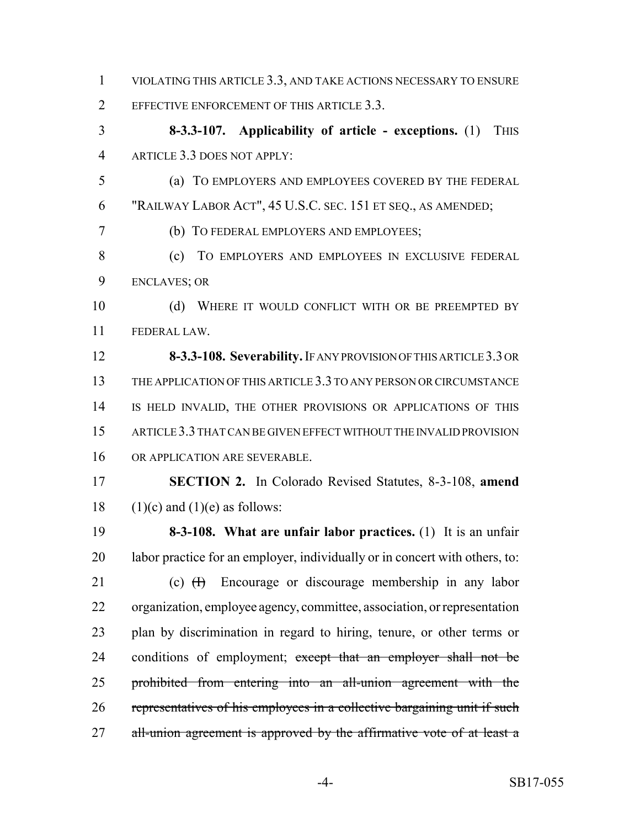VIOLATING THIS ARTICLE 3.3, AND TAKE ACTIONS NECESSARY TO ENSURE 2 EFFECTIVE ENFORCEMENT OF THIS ARTICLE 3.3.

 **8-3.3-107. Applicability of article - exceptions.** (1) THIS ARTICLE 3.3 DOES NOT APPLY:

 (a) TO EMPLOYERS AND EMPLOYEES COVERED BY THE FEDERAL "RAILWAY LABOR ACT", 45 U.S.C. SEC. 151 ET SEQ., AS AMENDED;

(b) TO FEDERAL EMPLOYERS AND EMPLOYEES;

 (c) TO EMPLOYERS AND EMPLOYEES IN EXCLUSIVE FEDERAL ENCLAVES; OR

10 (d) WHERE IT WOULD CONFLICT WITH OR BE PREEMPTED BY FEDERAL LAW.

 **8-3.3-108. Severability.** IF ANY PROVISION OF THIS ARTICLE 3.3 OR 13 THE APPLICATION OF THIS ARTICLE 3.3 TO ANY PERSON OR CIRCUMSTANCE IS HELD INVALID, THE OTHER PROVISIONS OR APPLICATIONS OF THIS ARTICLE 3.3 THAT CAN BE GIVEN EFFECT WITHOUT THE INVALID PROVISION OR APPLICATION ARE SEVERABLE.

 **SECTION 2.** In Colorado Revised Statutes, 8-3-108, **amend** 18 (1)(c) and (1)(e) as follows:

 **8-3-108. What are unfair labor practices.** (1) It is an unfair 20 labor practice for an employer, individually or in concert with others, to:

21 (c) <del>(I)</del> Encourage or discourage membership in any labor organization, employee agency, committee, association, or representation plan by discrimination in regard to hiring, tenure, or other terms or 24 conditions of employment; except that an employer shall not be prohibited from entering into an all-union agreement with the representatives of his employees in a collective bargaining unit if such 27 all-union agreement is approved by the affirmative vote of at least a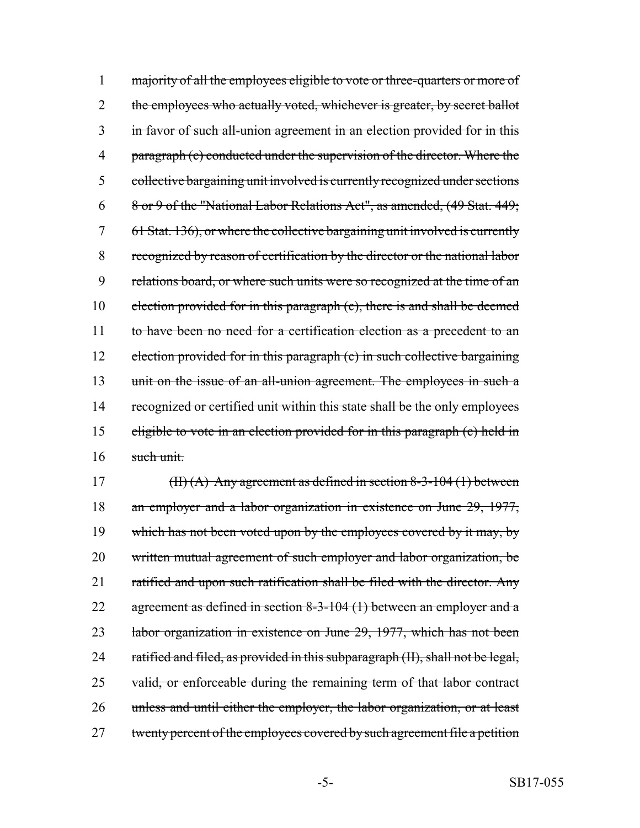1 majority of all the employees eligible to vote or three-quarters or more of 2 the employees who actually voted, whichever is greater, by secret ballot 3 in favor of such all-union agreement in an election provided for in this 4 paragraph (c) conducted under the supervision of the director. Where the 5 collective bargaining unit involved is currently recognized under sections 6 8 or 9 of the "National Labor Relations Act", as amended, (49 Stat. 449; 7 61 Stat. 136), or where the collective bargaining unit involved is currently 8 recognized by reason of certification by the director or the national labor 9 relations board, or where such units were so recognized at the time of an 10 election provided for in this paragraph (c), there is and shall be deemed 11 to have been no need for a certification election as a precedent to an 12 election provided for in this paragraph (c) in such collective bargaining 13 unit on the issue of an all-union agreement. The employees in such a 14 recognized or certified unit within this state shall be the only employees 15 eligible to vote in an election provided for in this paragraph (c) held in 16 such unit.

17 (II)  $(A)$  Any agreement as defined in section 8-3-104 (1) between 18 an employer and a labor organization in existence on June 29, 1977, 19 which has not been voted upon by the employees covered by it may, by 20 written mutual agreement of such employer and labor organization, be 21 ratified and upon such ratification shall be filed with the director. Any 22 agreement as defined in section 8-3-104 (1) between an employer and a 23 labor organization in existence on June 29, 1977, which has not been 24 ratified and filed, as provided in this subparagraph (II), shall not be legal, 25 valid, or enforceable during the remaining term of that labor contract 26 unless and until either the employer, the labor organization, or at least 27 twenty percent of the employees covered by such agreement file a petition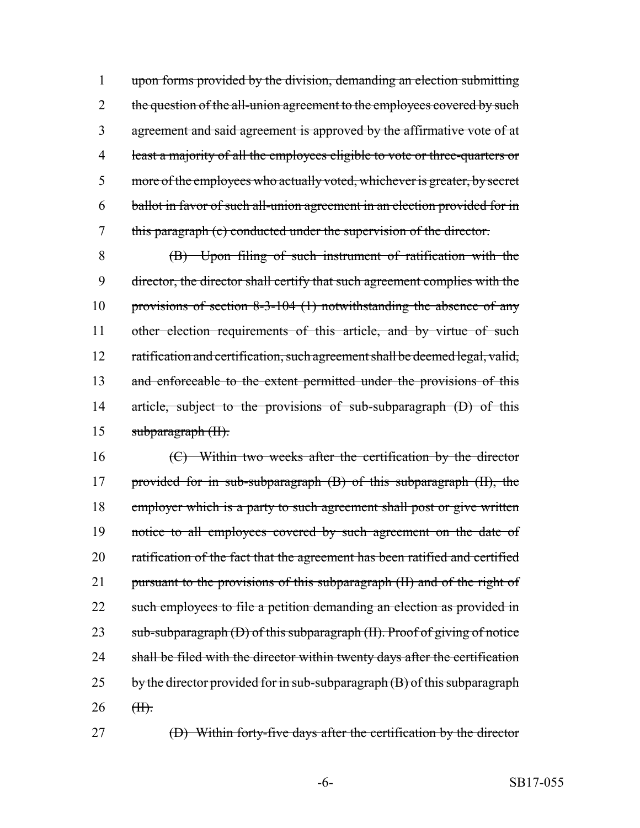upon forms provided by the division, demanding an election submitting 2 the question of the all-union agreement to the employees covered by such agreement and said agreement is approved by the affirmative vote of at least a majority of all the employees eligible to vote or three-quarters or more of the employees who actually voted, whichever is greater, by secret ballot in favor of such all-union agreement in an election provided for in this paragraph (c) conducted under the supervision of the director.

8 (B) Upon filing of such instrument of ratification with the 9 director, the director shall certify that such agreement complies with the 10 provisions of section 8-3-104 (1) notwithstanding the absence of any 11 other election requirements of this article, and by virtue of such 12 ratification and certification, such agreement shall be deemed legal, valid, 13 and enforceable to the extent permitted under the provisions of this 14 article, subject to the provisions of sub-subparagraph (D) of this 15 subparagraph (II).

16 (C) Within two weeks after the certification by the director 17 provided for in sub-subparagraph (B) of this subparagraph (II), the 18 employer which is a party to such agreement shall post or give written 19 notice to all employees covered by such agreement on the date of 20 ratification of the fact that the agreement has been ratified and certified 21 pursuant to the provisions of this subparagraph (II) and of the right of 22 such employees to file a petition demanding an election as provided in 23 sub-subparagraph (D) of this subparagraph (II). Proof of giving of notice 24 shall be filed with the director within twenty days after the certification  $25$  by the director provided for in sub-subparagraph  $(B)$  of this subparagraph  $26$  <del>(II).</del>

27 (D) Within forty-five days after the certification by the director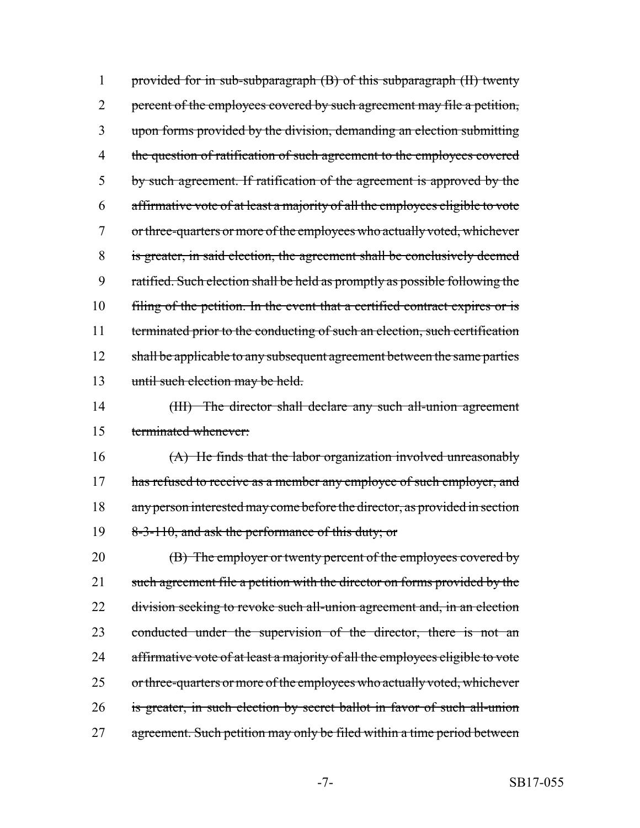1 provided for in sub-subparagraph (B) of this subparagraph (II) twenty 2 percent of the employees covered by such agreement may file a petition, 3 upon forms provided by the division, demanding an election submitting 4 the question of ratification of such agreement to the employees covered 5 by such agreement. If ratification of the agreement is approved by the 6 affirmative vote of at least a majority of all the employees eligible to vote 7 or three-quarters or more of the employees who actually voted, whichever 8 is greater, in said election, the agreement shall be conclusively deemed 9 ratified. Such election shall be held as promptly as possible following the 10 filing of the petition. In the event that a certified contract expires or is 11 terminated prior to the conducting of such an election, such certification 12 shall be applicable to any subsequent agreement between the same parties 13 until such election may be held.

14 (III) The director shall declare any such all-union agreement 15 terminated whenever:

16 (A) He finds that the labor organization involved unreasonably 17 has refused to receive as a member any employee of such employer, and 18 any person interested may come before the director, as provided in section 19 8-3-110, and ask the performance of this duty; or

20 **(B)** The employer or twenty percent of the employees covered by 21 such agreement file a petition with the director on forms provided by the 22 division seeking to revoke such all-union agreement and, in an election 23 conducted under the supervision of the director, there is not an 24 affirmative vote of at least a majority of all the employees eligible to vote 25 or three-quarters or more of the employees who actually voted, whichever 26 is greater, in such election by secret ballot in favor of such all-union 27 agreement. Such petition may only be filed within a time period between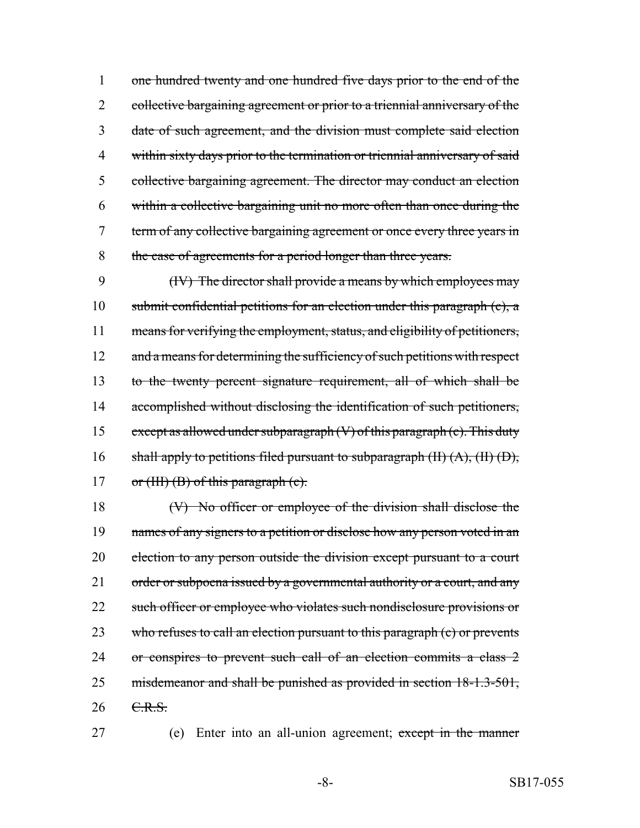one hundred twenty and one hundred five days prior to the end of the 2 collective bargaining agreement or prior to a triennial anniversary of the date of such agreement, and the division must complete said election within sixty days prior to the termination or triennial anniversary of said collective bargaining agreement. The director may conduct an election within a collective bargaining unit no more often than once during the 7 term of any collective bargaining agreement or once every three years in the case of agreements for a period longer than three years.

9 (IV) The director shall provide a means by which employees may 10 submit confidential petitions for an election under this paragraph (c), a 11 means for verifying the employment, status, and eligibility of petitioners, 12 and a means for determining the sufficiency of such petitions with respect 13 to the twenty percent signature requirement, all of which shall be 14 accomplished without disclosing the identification of such petitioners, 15 except as allowed under subparagraph  $(V)$  of this paragraph  $(c)$ . This duty 16 shall apply to petitions filed pursuant to subparagraph  $(H)$   $(A)$ ,  $(H)$   $(D)$ , 17 or  $(HH)(B)$  of this paragraph (c).

18 (V) No officer or employee of the division shall disclose the 19 names of any signers to a petition or disclose how any person voted in an 20 election to any person outside the division except pursuant to a court 21 order or subpoena issued by a governmental authority or a court, and any 22 such officer or employee who violates such nondisclosure provisions or 23 who refuses to call an election pursuant to this paragraph (c) or prevents 24 or conspires to prevent such call of an election commits a class 2 25 misdemeanor and shall be punished as provided in section 18-1.3-501, 26 C.R.S.

27 (e) Enter into an all-union agreement; except in the manner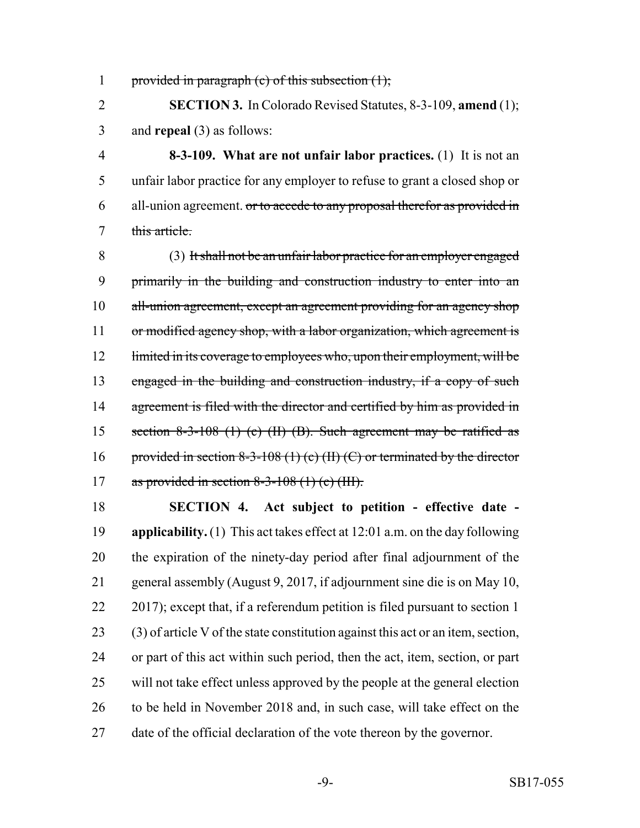1 provided in paragraph (c) of this subsection  $(1)$ ;

 **SECTION 3.** In Colorado Revised Statutes, 8-3-109, **amend** (1); and **repeal** (3) as follows:

 **8-3-109. What are not unfair labor practices.** (1) It is not an unfair labor practice for any employer to refuse to grant a closed shop or 6 all-union agreement. or to accede to any proposal therefor as provided in this article.

 (3) It shall not be an unfair labor practice for an employer engaged primarily in the building and construction industry to enter into an 10 all-union agreement, except an agreement providing for an agency shop 11 or modified agency shop, with a labor organization, which agreement is 12 limited in its coverage to employees who, upon their employment, will be engaged in the building and construction industry, if a copy of such 14 agreement is filed with the director and certified by him as provided in section 8-3-108 (1) (c) (II) (B). Such agreement may be ratified as 16 provided in section 8-3-108 (1) (c) (II) (C) or terminated by the director 17 as provided in section 8-3-108  $(1)$  (c) (III).

 **SECTION 4. Act subject to petition - effective date - applicability.** (1) This act takes effect at 12:01 a.m. on the day following the expiration of the ninety-day period after final adjournment of the general assembly (August 9, 2017, if adjournment sine die is on May 10, 22 2017); except that, if a referendum petition is filed pursuant to section 1 (3) of article V of the state constitution against this act or an item, section, or part of this act within such period, then the act, item, section, or part will not take effect unless approved by the people at the general election to be held in November 2018 and, in such case, will take effect on the date of the official declaration of the vote thereon by the governor.